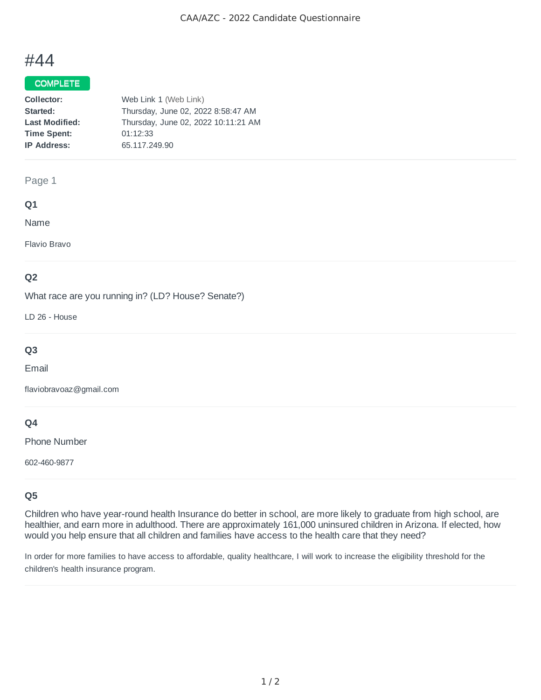# #44

## COMPLETE

| Collector:            | Web Link 1 (Web Link)               |
|-----------------------|-------------------------------------|
| Started:              | Thursday, June 02, 2022 8:58:47 AM  |
| <b>Last Modified:</b> | Thursday, June 02, 2022 10:11:21 AM |
| <b>Time Spent:</b>    | 01:12:33                            |
| <b>IP Address:</b>    | 65.117.249.90                       |

## Page 1

## **Q1**

Name

Flavio Bravo

## **Q2**

What race are you running in? (LD? House? Senate?)

LD 26 - House

## **Q3**

Email

flaviobravoaz@gmail.com

## **Q4**

Phone Number

602-460-9877

## **Q5**

Children who have year-round health Insurance do better in school, are more likely to graduate from high school, are healthier, and earn more in adulthood. There are approximately 161,000 uninsured children in Arizona. If elected, how would you help ensure that all children and families have access to the health care that they need?

In order for more families to have access to affordable, quality healthcare, I will work to increase the eligibility threshold for the children's health insurance program.